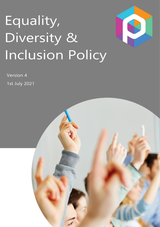# Equality, Diversity & **Inclusion Policy**



Version 4 1st July 2021

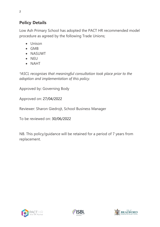# **Policy Details**

Low Ash Primary School has adopted the PACT HR recommended model procedure as agreed by the following Trade Unions;

- Unison
- GMB
- NASUWT
- NEU
- NAHT

*\*ASCL recognises that meaningful consultation took place prior to the adoption and implementation of this policy.*

Approved by: Governing Body

Approved on: 27/04/2022

Reviewer: Sharon Giedrojt, School Business Manager

To be reviewed on: 30/06/2022

NB. This policy/guidance will be retained for a period of 7 years from replacement.





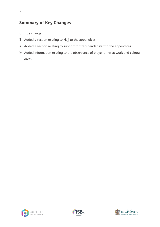## **Summary of Key Changes**

- i. Title change
- ii. Added a section relating to Hajj to the appendices.
- iii. Added a section relating to support for transgender staff to the appendices.
- iv. Added information relating to the observance of prayer times at work and cultural dress.





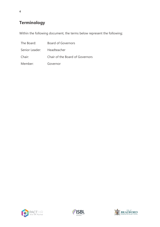# **Terminology**

Within the following document, the terms below represent the following;

| The Board:                 | Board of Governors              |
|----------------------------|---------------------------------|
| Senior Leader: Headteacher |                                 |
| Chair:                     | Chair of the Board of Governors |
| Member:                    | Governor                        |





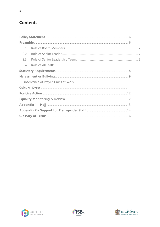## **Contents**

| 2.1 |  |  |  |  |
|-----|--|--|--|--|
| 2.2 |  |  |  |  |
| 2.3 |  |  |  |  |
| 2.4 |  |  |  |  |
|     |  |  |  |  |
|     |  |  |  |  |
|     |  |  |  |  |
|     |  |  |  |  |
|     |  |  |  |  |
|     |  |  |  |  |
|     |  |  |  |  |
|     |  |  |  |  |
|     |  |  |  |  |





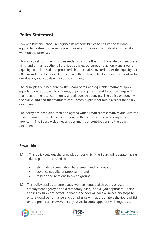## <span id="page-5-0"></span>**Policy Statement**

Low Ash Primary School recognises its responsibilities to ensure the fair and equitable treatment of everyone employed and those individuals who undertake work on the premises.

This policy sets out the principles under which the Board will operate to meet these aims, and brings together all previous policies, schemes and action plans around equality. It includes all the protected characteristics covered under the Equality Act 2010 as well as other aspects which have the potential to discriminate against or to devalue any individuals within our community.

The principles outlined here by the Board of fair and equitable treatment apply equally to our approach to students/pupils and parents and to our dealings with members of the local community and all outside agencies. The policy on equality in the curriculum and the treatment of students/pupils is set out in a separate policy document.

The policy has been discussed and agreed with all staff representatives and with the trade unions. It is available to everyone in the School and to any prospective applicant. The Board welcomes any comments or contributions to the policy document.

#### <span id="page-5-1"></span>**Preamble**

- 1.1 This policy sets out the principles under which the Board will operate having due regard to the need to:
	- eliminate discrimination, harassment and victimisation;
	- advance equality of opportunity, and
	- foster good relations between groups.
- 1.2 This policy applies to employees, workers (engaged through, or by, an employment agency or on a temporary basis), and all job applicants. It also applies to sub-contractors, in that the School will take all necessary steps to ensure good performance and compliance with appropriate behaviours whilst on the premises. However, if any issues become apparent with regards to





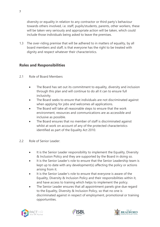diversity or equality in relation to any contractor or third party's behaviour towards others involved, i.e. staff, pupils/students, parents, other workers, these will be taken very seriously and appropriate action will be taken, which could include those individuals being asked to leave the premises.

1.3 The over-riding premise that will be adhered to in matters of equality, by all board members and staff, is that everyone has the right to be treated with dignity and respect whatever their characteristics.

#### **Roles and Responsibilities**

- <span id="page-6-0"></span>2.1 Role of Board Members
	- The Board has set out its commitment to equality, diversity and inclusion through this plan and will continue to do all it can to ensure full inclusivity.
	- The Board seeks to ensure that individuals are not discriminated against when applying for jobs and welcomes all applications.
	- The Board will take all reasonable steps to ensure that the work environment, resources and communications are as accessible and inclusive as possible.
	- The Board ensures that no member of staff is discriminated against whilst at work on account of any of the protected characteristics identified as part of the Equality Act 2010.
- <span id="page-6-1"></span>2.2 Role of Senior Leader:
	- It is the Senior Leader responsibility to implement the Equality, Diversity & Inclusion Policy and they are supported by the Board in doing so.
	- It is the Senior Leader's role to ensure that the Senior Leadership team is kept up to date with any development(s) affecting the policy or actions arising from it.
	- It is the Senior Leader's role to ensure that everyone is aware of the Equality, Diversity & Inclusion Policy and their responsibilities within it, and have access to training which helps to implement the policy.
	- The Senior Leader ensures that all appointment panels give due regard to the Equality, Diversity & Inclusion Policy, so that no one is discriminated against in respect of employment, promotional or training opportunities.





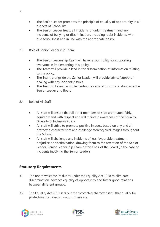- The Senior Leader promotes the principle of equality of opportunity in all aspects of School life.
- The Senior Leader treats all incidents of unfair treatment and any incidents of bullying or discrimination, including racist incidents, with due seriousness and in line with the appropriate policy.
- <span id="page-7-0"></span>2.3 Role of Senior Leadership Team:
	- The Senior Leadership Team will have responsibility for supporting everyone in implementing this policy.
	- The Team will provide a lead in the dissemination of information relating to the policy.
	- The Team, alongside the Senior Leader, will provide advice/support in dealing with any incidents/issues.
	- The Team will assist in implementing reviews of this policy, alongside the Senior Leader and Board.
- <span id="page-7-1"></span>2.4 Role of All Staff:
	- All staff will ensure that all other members of staff are treated fairly, equitably and with respect and will maintain awareness of the Equality, Diversity & Inclusion Policy.
	- All staff will strive to promote positive images, based on any and all protected characteristics and challenge stereotypical images throughout the School.
	- All staff will challenge any incidents of less favourable treatment, prejudice or discrimination, drawing them to the attention of the Senior Leader, Senior Leadership Team or the Chair of the Board (in the case of incidents involving the Senior Leader).

#### <span id="page-7-2"></span>**Statutory Requirements**

- 3.1 The Board welcome its duties under the Equality Act 2010 to eliminate discrimination, advance equality of opportunity and foster good relations between different groups.
- 3.2 The Equality Act 2010 sets out the 'protected characteristics' that qualify for protection from discrimination. These are:





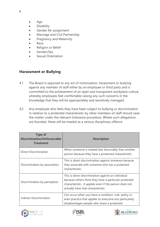- Age
- **Disability**
- Gender Re-assignment
- Marriage and Civil Partnership
- Pregnancy and Maternity
- Race
- Religion or Belief
- Gender/Sex
- Sexual Orientation

#### <span id="page-8-0"></span>**Harassment or Bullying**

- 4.1 The Board is opposed to any act of victimisation, harassment or bullying against any member of staff either by an employee or third party and is committed to the achievement of an open and transparent workplace culture, whereby employees feel comfortable raising any such concerns in the knowledge that they will be appropriately and sensitively managed.
- 4.2 Any employee who feels they have been subject to bullying or discrimination in relation to a protected characteristic by other members of staff should raise the matter under the relevant Grievance procedure. Where such allegations are founded, these will be treated as a serious disciplinary offence.

| <b>Type of</b><br><b>Discrimination/Unfavourable</b><br><b>Treatment</b> | <b>Description</b>                                                                                                                                                                                           |
|--------------------------------------------------------------------------|--------------------------------------------------------------------------------------------------------------------------------------------------------------------------------------------------------------|
| <b>Direct Discrimination</b>                                             | When someone is treated less favourably than another<br>person because they have a protected characteristic.                                                                                                 |
| Discrimination by association                                            | This is direct discrimination against someone because<br>they associate with someone who has a protected<br>characteristic.                                                                                  |
| Discrimination by perception                                             | This is direct discrimination against an individual<br>because others think they have a particular protected<br>characteristic. It applies even if the person does not<br>actually have that characteristic. |
| <b>Indirect Discrimination</b>                                           | Can occur when you have a condition, rule, policy or<br>even practice that applies to everyone but particularly<br>disadvantages people who share a protected                                                |





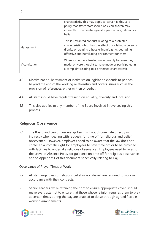|               | characteristic. This may apply to certain faiths, i.e. a<br>policy that states staff should be clean shaven may<br>indirectly discriminate against a person race, religion or<br>belief                                       |  |
|---------------|-------------------------------------------------------------------------------------------------------------------------------------------------------------------------------------------------------------------------------|--|
| Harassment    | This is unwanted conduct relating to a protected<br>characteristic which has the effect of violating a person's<br>dignity or creating a hostile, intimidating, degrading,<br>offensive and humiliating environment for them. |  |
| Victimisation | When someone is treated unfavourably because they<br>made, or were thought to have made or participated in<br>a complaint relating to a protected characteristic.                                                             |  |

- 4.3 Discrimination, harassment or victimisation legislation extends to periods beyond the end of the working relationship and covers issues such as the provision of references, either written or verbal.
- 4.4 All staff should have regular training on equality, diversity and Inclusion.
- 4.5 This also applies to any member of the Board involved in overseeing this process.

#### **Religious Observance**

5.1 The Board and Senior Leadership Team will not discriminate directly or indirectly when dealing with requests for time off for religious and belief observance. However, employees need to be aware that the law does not confer an automatic right for employees to have time off, or to be provided with facilities to undertake religious observance. Employees need to refer to the Leave of Absence Policy for guidance on time off for religious observance and to Appendix 1 of this document specifically relating to Hajj.

#### <span id="page-9-0"></span>Observance of Prayer Times at Work

- 5.2 All staff, regardless of religious belief or non-belief, are required to work in accordance with their contracts.
- 5.3 Senior Leaders, while retaining the right to ensure appropriate cover, should make every attempt to ensure that those whose religion requires them to pray at certain times during the day are enabled to do so through agreed flexible working arrangements.





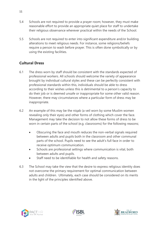- 5.4 Schools are not required to provide a prayer room; however, they must make reasonable effort to provide an appropriate quiet place for staff to undertake their religious observance wherever practical within the needs of the School.
- 5.5 Schools are not required to enter into significant expenditure and/or building alterations to meet religious needs. For instance, some religions/beliefs require a person to wash before prayer. This is often done symbolically or by using the existing facilities.

#### <span id="page-10-0"></span>**Cultural Dress**

- 6.1 The dress worn by staff should be consistent with the standards expected of professional workers. All schools should welcome the variety of appearance brought by individual cultural styles and these can be perfectly consistent with professional standards within this, individuals should be able to dress according to their wishes unless this is detrimental to a person's capacity to do their job or is deemed unsafe or inappropriate for some other valid reason. However, there may circumstances where a particular form of dress may be inappropriate.
- 6.2 An example of this may be the niqab (a veil worn by some Muslim women revealing only their eyes) and other forms of clothing which cover the face. Management may take the decision to not allow these forms of dress to be worn in certain parts of the school (e.g. classrooms) for the following reasons;
	- Obscuring the face and mouth reduces the non-verbal signals required between adults and pupils both in the classroom and other communal parts of the school. Pupils need to see the adult's full face in order to receive optimum communication.
	- Schools are professional settings where communication is vital, both between adults and pupils.
	- Staff need to be identifiable for health and safety reasons.
- 6.3 The School may take the view that the desire to express religious identity does not overcome the primary requirement for optimal communication between adults and children. Ultimately, each case should be considered on its merits in the light of the principles identified above.





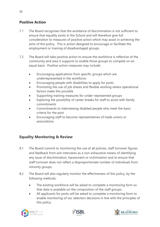#### <span id="page-11-0"></span>**Positive Action**

- 7.1 The Board recognises that the avoidance of discrimination is not sufficient to ensure that equality exists in the School and will therefore give full consideration to measures of positive action which may assist in achieving the aims of this policy. This is action designed to encourage or facilitate the employment or training of disadvantaged groups.
- 7.2 The Board will take positive action to ensure the workforce is reflective of the community and area it supports to enable those groups to compete on an equal basis. Positive action measures may include:
	- Encouraging applications from specific groups which are underrepresented in the workforce.
	- Encouraging people with disabilities to apply for posts
	- Promoting the use of job shares and flexible working where operational factors make this possible
	- Supporting training measures for under-represented groups
	- Exploring the possibility of career breaks for staff to assist with family commitments
	- Commitments to interviewing disabled people who meet the basic criteria for the post
	- Encouraging staff to become representatives of trade unions or associations

## <span id="page-11-1"></span>**Equality Monitoring & Review**

- 8.1 The Board commit to monitoring the use of all policies, staff turnover figures and feedback from exit interviews as a non-exhaustive means of identifying any issue of discrimination, harassment or victimisation and to ensure that staff turnover does not reflect a disproportionate number of individuals from minority groups.
- 8.2 The Board will also regularly monitor the effectiveness of this policy, by the following methods:
	- The existing workforce will be asked to complete a monitoring form so that data is available on the composition of the staff groups.
	- All applicants for posts will be asked to complete a monitoring form to enable monitoring of our selection decisions in line with the principles of this policy.





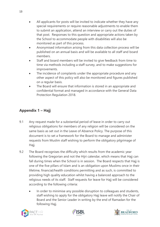- All applicants for posts will be invited to indicate whether they have any special requirements or require reasonable adjustments to enable them to submit an application, attend an interview or carry out the duties of that post. Responses to this question and appropriate actions taken by the School to accommodate people with disabilities will also be monitored as part of this process.
- Anonymised information arising from this data collection process will be published on an annual basis and will be available to all staff and board members.
- Staff and board members will be invited to give feedback from time to time via methods including a staff survey, and to make suggestions for improvements.
- The incidence of complaints under the appropriate procedure and any other aspect of this policy will also be monitored and figures published on a regular basis.
- The Board will ensure that information is stored in an appropriate and confidential format and managed in accordance with the General Data Protection Regulation 2018.

## <span id="page-12-0"></span>**Appendix 1 – Hajj**

- 9.1 Any request made for a substantial period of leave in order to carry out religious obligations for members of any religion will be considered on the same basis as set out in the Leave of Absence Policy. The purpose of this document is to set a framework for the Board to manage and administer requests from Muslim staff wishing to perform the obligatory pilgrimage of Hajj.
- 9.2 The Board recognises the difficulty which results from the academic year following the Gregorian and not the Hijri calendar, which means that Hajj can fall during times when the School is in session. The Board respects that Hajj is one of the five pillars of Islam and is an obligation upon Muslims once in their lifetime, financial/health conditions permitting and as such, is committed to providing high quality education whilst having a balanced approach to the religious needs of its staff. Staff requests for leave for Hajj will be considered according to the following criteria:
	- In order to minimise any possible disruption to colleagues and students, staff wishing to apply for the obligatory Hajj leave will notify the Chair of Board and the Senior Leader in writing by the end of Ramadan for the following Hajj.





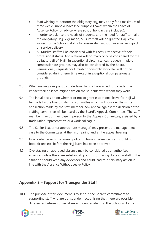- Staff wishing to perform the obligatory Hajj may apply for a maximum of three weeks' unpaid leave (see "Unpaid Leave" within the Leave of Absence Policy for advice where school holidays are included).
- In order to balance the needs of students and the need for staff to make the obligatory Hajj pilgrimage, Muslim staff will be granted Hajj leave subject to the School's ability to release staff without an adverse impact on service delivery.
- All Muslim staff will be considered with fairness irrespective of their professional status. Applications will normally only be considered for the obligatory (first) Hajj. In exceptional circumstances requests made on compassionate grounds may also be considered by the Board.
- Permissions / requests for Umrah or non-obligatory Hajj will not be considered during term time except in exceptional compassionate grounds.
- 9.3 When making a request to undertake Hajj staff are asked to consider the impact their absence might have on the students with whom they work.
- 9.4 The initial decision on whether or not to grant exceptional leave for Hajj will be made by the board's staffing committee which will consider the written application made by the staff member. Any appeal against the decision of the staffing committee will be heard by the Board's Appeals Committee. The staff member may put their case in person to the Appeals Committee, assisted by a trade union representative or a work colleague.
- 9.5 The Senior Leader (or appropriate manager) may present the management case to the Committees at the first hearing and at the appeal hearing.
- 9.6 In accordance with the overall policy on leave of absence, staff should not book tickets etc. before the Hajj leave has been approved.
- 9.7 Overstaying an approved absence may be considered as unauthorised absence (unless there are substantial grounds for having done so – staff in this situation should keep any evidence) and could lead to disciplinary action in line with the Absence Without Leave Policy.

## <span id="page-13-0"></span>**Appendix 2 – Support for Transgender Staff**

10.1 The purpose of this document is to set out the Board's commitment to supporting staff who are transgender, recognising that there are possible differences between physical sex and gender identity. The School will at no





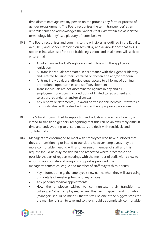time discriminate against any person on the grounds any form or process of gender re-assignment. The Board recognises the term 'transgender' as an umbrella term and acknowledges the variants that exist within the associated terminology identity' (see glossary of terms below).

- 10.2 The Board recognises and commits to the principles as outlined in the Equality Act (2010) and Gender Recognition Act (2004) and acknowledges that this is not an exhaustive list of the applicable legislation, and at all times will seek to ensure that;
	- All of a trans individual's rights are met in line with the applicable legislation
	- All trans individuals are treated in accordance with their gender identity and referred to using their preferred or chosen title and/or pronoun
	- All trans individuals are afforded equal access to all forms of training, promotional opportunities and staff development
	- Trans individuals are not discriminated against in any and all employment practices, included but not limited to recruitment and selection, redundancy and/or dismissal
	- Any reports or detrimental, unlawful or transphobic behaviour towards a trans individual will be dealt with under the appropriate procedure.
- 10.3 The School is committed to supporting individuals who are transitioning, or intend to transition genders, recognising that this can be an extremely difficult time and endeavouring to ensure matters are dealt with sensitively and confidentially.
- 10.4 Managers are encouraged to meet with employees who have disclosed that they are transitioning or intend to transition; however, employees may be more comfortable meeting with another senior member of staff and this request should be duly considered and respected where practicable and possible. As part of regular meetings with the member of staff, with a view to ensuring appropriate and on-going support is provided, the manager/alternate colleague and member of staff may wish to discuss:
	- Key information e.g. the employee's new name, when they will start using this, details of meetings held and any actions.
	- Any pending medical appointments.
	- How the employee wishes to communicate their transition to colleagues/other employees, when this will happen and to whom (managers should be mindful that this will be one of the biggest steps for the member of staff to take and so they should be completely comfortable





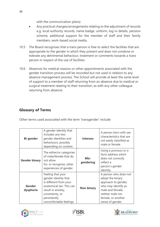with the communication plans).

- Any practical changes/arrangements relating to the adjustment of records e.g. local authority records, name badge, uniform, log-in details, pension scheme, additional support for the member of staff and their family members, work-based social media.
- 10.5 The Board recognises that a trans person is free to select the facilities that are appropriate to the gender in which they present and does not condone or tolerate any detrimental behaviour, treatment or comments towards a trans person in respect of the use of facilities.
- 10.6 Absences for medical reasons or other appointments associated with the gender transition process will be recorded but not used in relation to any absence management process. The School will provide at least the same level of support to a member of staff returning from an absence due to medical or surgical treatment relating to their transition, as with any other colleague returning from absence.

#### <span id="page-15-0"></span>**Glossary of Terms**

| Other terms used associated with the term 'transgender' include: |  |
|------------------------------------------------------------------|--|
|------------------------------------------------------------------|--|

| <b>Bi-gender</b>           | A gender identity that<br>includes any two<br>gender identities and<br>behaviours, possibly<br>depending on context.                                                               | <b>Intersex</b>   | A person born with sex<br>characteristics that are<br>not easily classified as<br>male or female.                                                                         |
|----------------------------|------------------------------------------------------------------------------------------------------------------------------------------------------------------------------------|-------------------|---------------------------------------------------------------------------------------------------------------------------------------------------------------------------|
| <b>Gender binary</b>       | The either/or categories<br>of male/female that do<br>not allow<br>for, or recognise, other<br>experiences of gender.                                                              | Mis-<br>gendering | Using a pronoun or a<br>form address which<br>does not correctly<br>reflect a<br>person's gender<br>identity.                                                             |
| <b>Gender</b><br>dysphoria | Feeling that your<br>gender identity that<br>is different from your<br>anatomical sex. This can<br>result in anxiety,<br>uncertainty, or<br>persistently<br>uncomfortable feelings | <b>Non-binary</b> | A person who does not<br>adopt the binary<br>approach to gender;<br>who may identify as<br>male and female,<br>neither male nor<br>female, or another<br>sense of gender. |